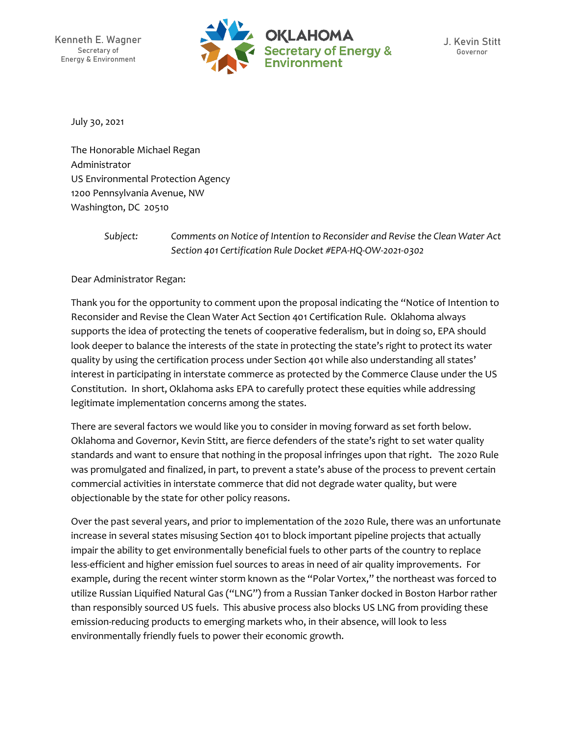

July 30, 2021

The Honorable Michael Regan Administrator US Environmental Protection Agency 1200 Pennsylvania Avenue, NW Washington, DC 20510

> *Subject: Comments on Notice of Intention to Reconsider and Revise the Clean Water Act Section 401 Certification Rule Docket #EPA-HQ-OW-2021-0302*

Dear Administrator Regan:

Thank you for the opportunity to comment upon the proposal indicating the "Notice of Intention to Reconsider and Revise the Clean Water Act Section 401 Certification Rule. Oklahoma always supports the idea of protecting the tenets of cooperative federalism, but in doing so, EPA should look deeper to balance the interests of the state in protecting the state's right to protect its water quality by using the certification process under Section 401 while also understanding all states' interest in participating in interstate commerce as protected by the Commerce Clause under the US Constitution. In short, Oklahoma asks EPA to carefully protect these equities while addressing legitimate implementation concerns among the states.

There are several factors we would like you to consider in moving forward as set forth below. Oklahoma and Governor, Kevin Stitt, are fierce defenders of the state's right to set water quality standards and want to ensure that nothing in the proposal infringes upon that right. The 2020 Rule was promulgated and finalized, in part, to prevent a state's abuse of the process to prevent certain commercial activities in interstate commerce that did not degrade water quality, but were objectionable by the state for other policy reasons.

Over the past several years, and prior to implementation of the 2020 Rule, there was an unfortunate increase in several states misusing Section 401 to block important pipeline projects that actually impair the ability to get environmentally beneficial fuels to other parts of the country to replace less-efficient and higher emission fuel sources to areas in need of air quality improvements. For example, during the recent winter storm known as the "Polar Vortex," the northeast was forced to utilize Russian Liquified Natural Gas ("LNG") from a Russian Tanker docked in Boston Harbor rather than responsibly sourced US fuels. This abusive process also blocks US LNG from providing these emission-reducing products to emerging markets who, in their absence, will look to less environmentally friendly fuels to power their economic growth.